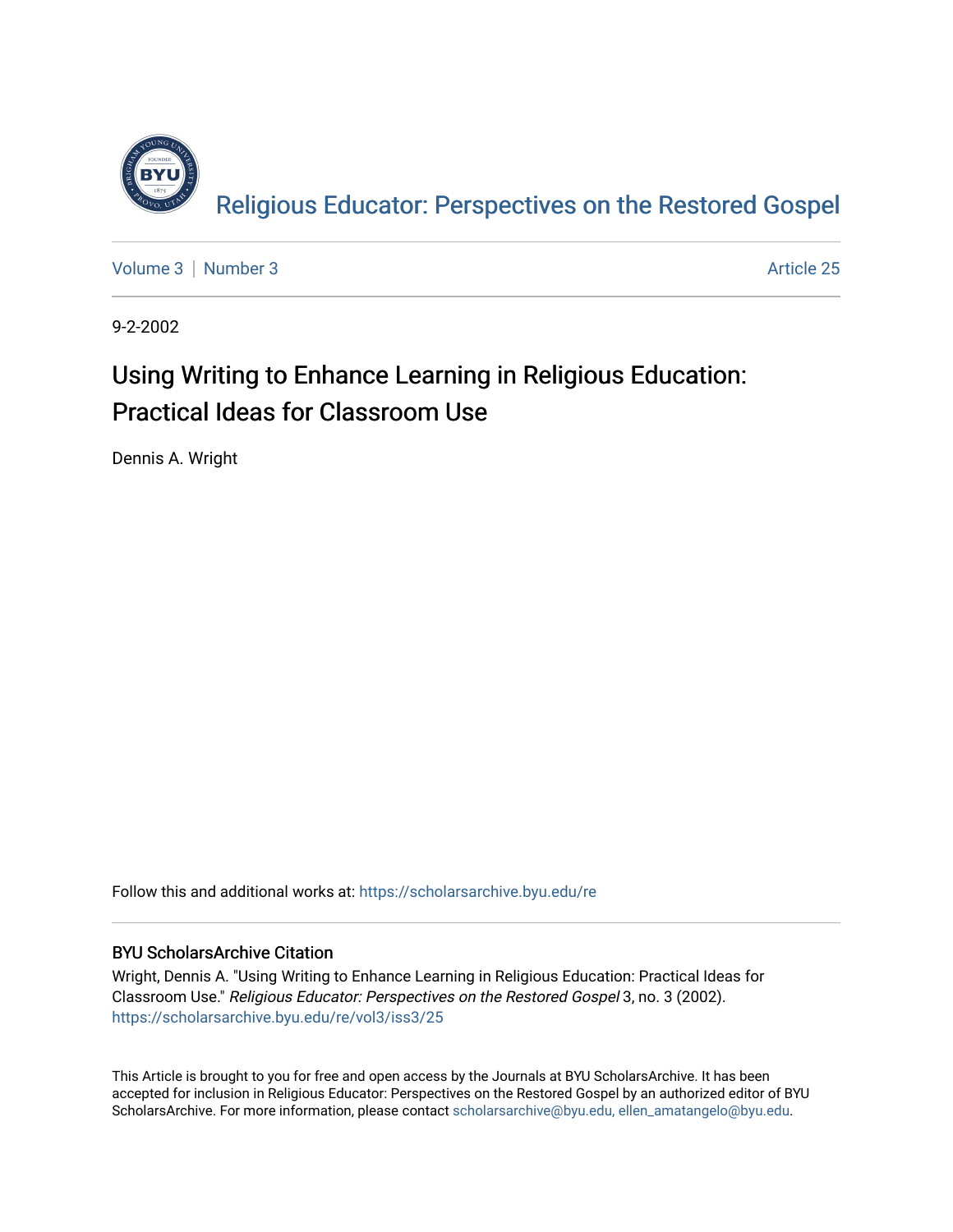

[Volume 3](https://scholarsarchive.byu.edu/re/vol3) [Number 3](https://scholarsarchive.byu.edu/re/vol3/iss3) Article 25

9-2-2002

#### Using Writing to Enhance Learning in Religious Education: Practical Ideas for Classroom Use

Dennis A. Wright

Follow this and additional works at: [https://scholarsarchive.byu.edu/re](https://scholarsarchive.byu.edu/re?utm_source=scholarsarchive.byu.edu%2Fre%2Fvol3%2Fiss3%2F25&utm_medium=PDF&utm_campaign=PDFCoverPages)

#### BYU ScholarsArchive Citation

Wright, Dennis A. "Using Writing to Enhance Learning in Religious Education: Practical Ideas for Classroom Use." Religious Educator: Perspectives on the Restored Gospel 3, no. 3 (2002). [https://scholarsarchive.byu.edu/re/vol3/iss3/25](https://scholarsarchive.byu.edu/re/vol3/iss3/25?utm_source=scholarsarchive.byu.edu%2Fre%2Fvol3%2Fiss3%2F25&utm_medium=PDF&utm_campaign=PDFCoverPages) 

This Article is brought to you for free and open access by the Journals at BYU ScholarsArchive. It has been accepted for inclusion in Religious Educator: Perspectives on the Restored Gospel by an authorized editor of BYU ScholarsArchive. For more information, please contact [scholarsarchive@byu.edu, ellen\\_amatangelo@byu.edu.](mailto:scholarsarchive@byu.edu,%20ellen_amatangelo@byu.edu)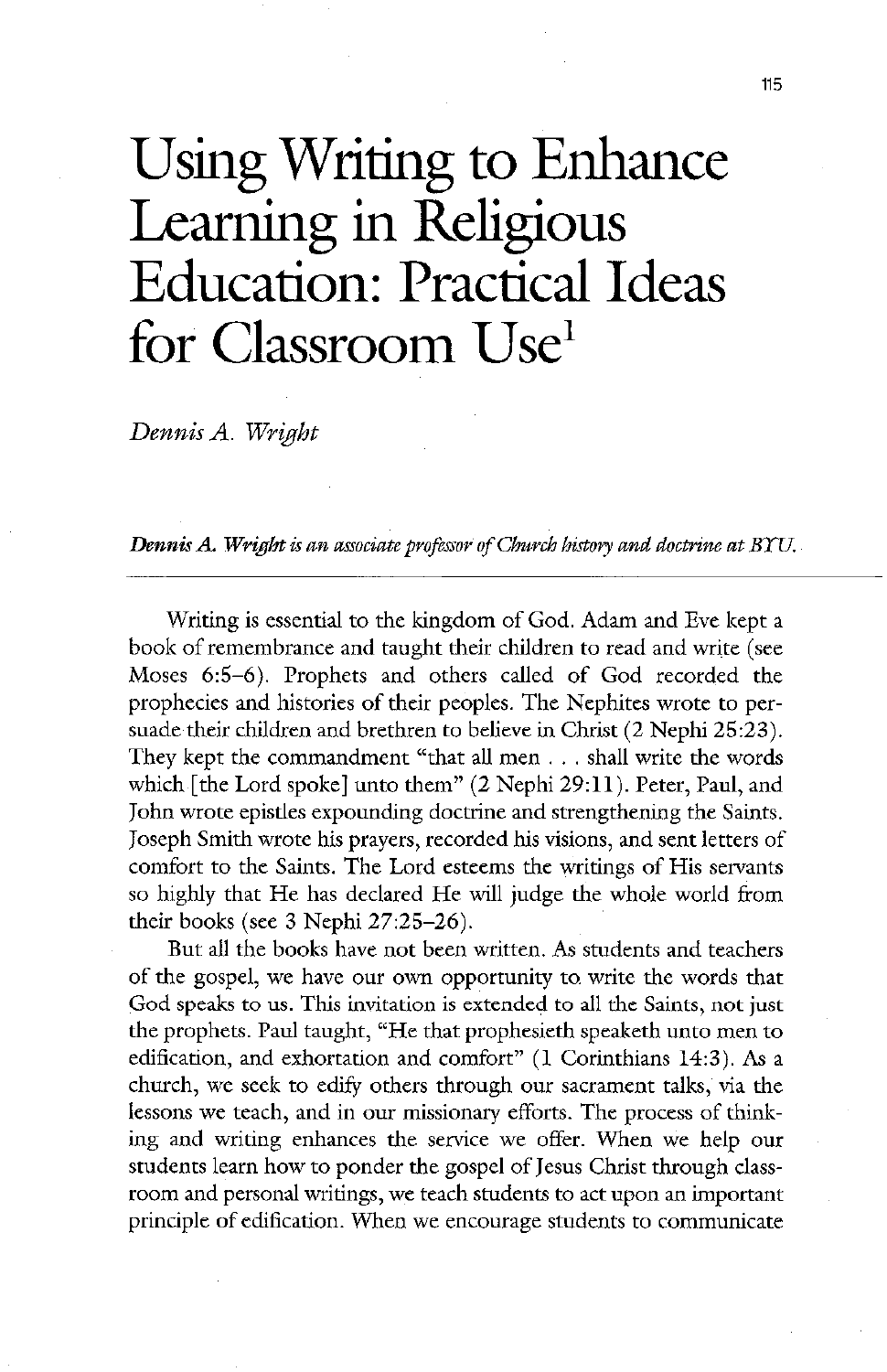# Using Writing to Enhance Learning in Religious Education: Practical Ideas for Classroom Use

Dennis A. Wright

**Dennis A. Wright** is an associate professor of Church history and doctrine at BYU.

Writing is essential to the kingdom of God. Adam and Eve kept a book of remembrance and taught their children to read and write (see Moses 6:5–6). Prophets and others called of God recorded the prophecies and histories of their peoples. The Nephites wrote to persuade their children and brethren to believe in Christ  $(2$  Nephi 25:23). They kept the commandment "that all men  $\ldots$  shall write the words which [the Lord spoke] unto them"  $(2$  Nephi 29:11). Peter, Paul, and John wrote epistles expounding doctrine and strengthening the Saints. Joseph Smith wrote his prayers, recorded his visions, and sent letters of comfort to the Saints. The Lord esteems the writings of His servants so highly that He has declared He will judge the whole world from their books (see 3 Nephi  $27:25-26$ ). But all the books have not been written. As students and teachers of the gospel, we have our own opportunity to write the words that God speaks to us. This invitation is extended to all the Saints, not just the prophets. Paul taught, "He that prophesieth speaketh unto men to edification, and exhortation and comfort"  $(1$  Corinthians 14:3). As a church, we seek to edify others through our sacrament talks, via the lessons we teach, and in our missionary efforts. The process of thinking and writing enhances the service we offer. When we help our students learn how to ponder the gospel of jesus christ through class room and personal writings, we teach students to act upon an important principle of edification. When we encourage students to communicate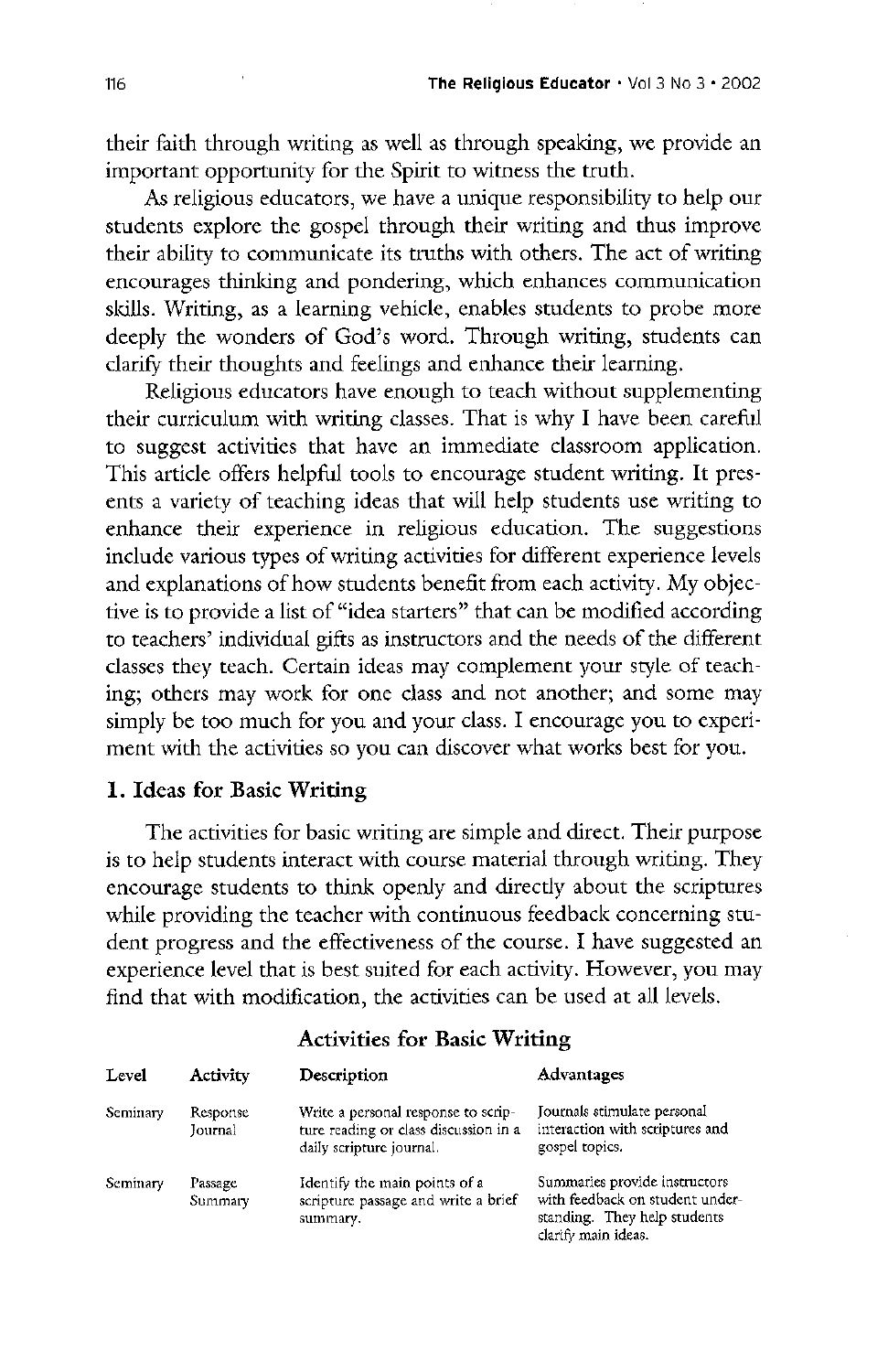their faith through writing as well as through speaking, we provide an important opportunity for the Spirit to witness the truth.

As religious educators, we have a unique responsibility to help our students explore the gospel through their writing and thus improve their ability to communicate its truths with others. The act of writing encourages thinking and pondering, which enhances communication skills. Writing, as a learning vehicle, enables students to probe more deeply the wonders of God's word. Through writing, students can clarify their thoughts and feelings and enhance their learning

Religious educators have enough to teach without supplementing their curriculum with writing classes. That is why I have been careful to suggest activities that have an immediate classroom application This article offers helpful tools to encourage student writing. It presents a variety of teaching ideas that will help students use writing to enhance their experience in religious education. The suggestions include various types of writing activities for different experience levels and explanations of how students benefit from each activity. My objective is to provide a list of "idea starters" that can be modified according to teachers' individual gifts as instructors and the needs of the different classes they teach. Certain ideas may complement your style of teach-

ing; others may work for one class and not another; and some may simply be too much for you and your class. I encourage you to experiment with the activities so you can discover what works best for you.

## 1. Ideas for Basic Writing

The activities for basic writing are simple and direct. Their purpose is to help students interact with course material through writing. They encourage students to think openly and directly about the scriptures while providing the teacher with continuous feedback concerning student progress and the effectiveness of the course. I have suggested an experience level that is best suited for each activity. However, you may find that with modification, the activities can be used at all levels.

# Activities for Basic Writing

| Level    | <b>Activity</b>     | Description                                                                                              | Advantages                                                                                                              |
|----------|---------------------|----------------------------------------------------------------------------------------------------------|-------------------------------------------------------------------------------------------------------------------------|
| Seminary | Response<br>Journal | Write a personal response to scrip-<br>ture reading or class discussion in a<br>daily scripture journal. | Journals stimulate personal<br>interaction with scriptures and<br>gospel topics.                                        |
| Seminary | Passage<br>Summary  | Identify the main points of a<br>scripture passage and write a brief<br>summary.                         | Summaries provide instructors<br>with feedback on student under-<br>standing. They help students<br>clarify main ideas. |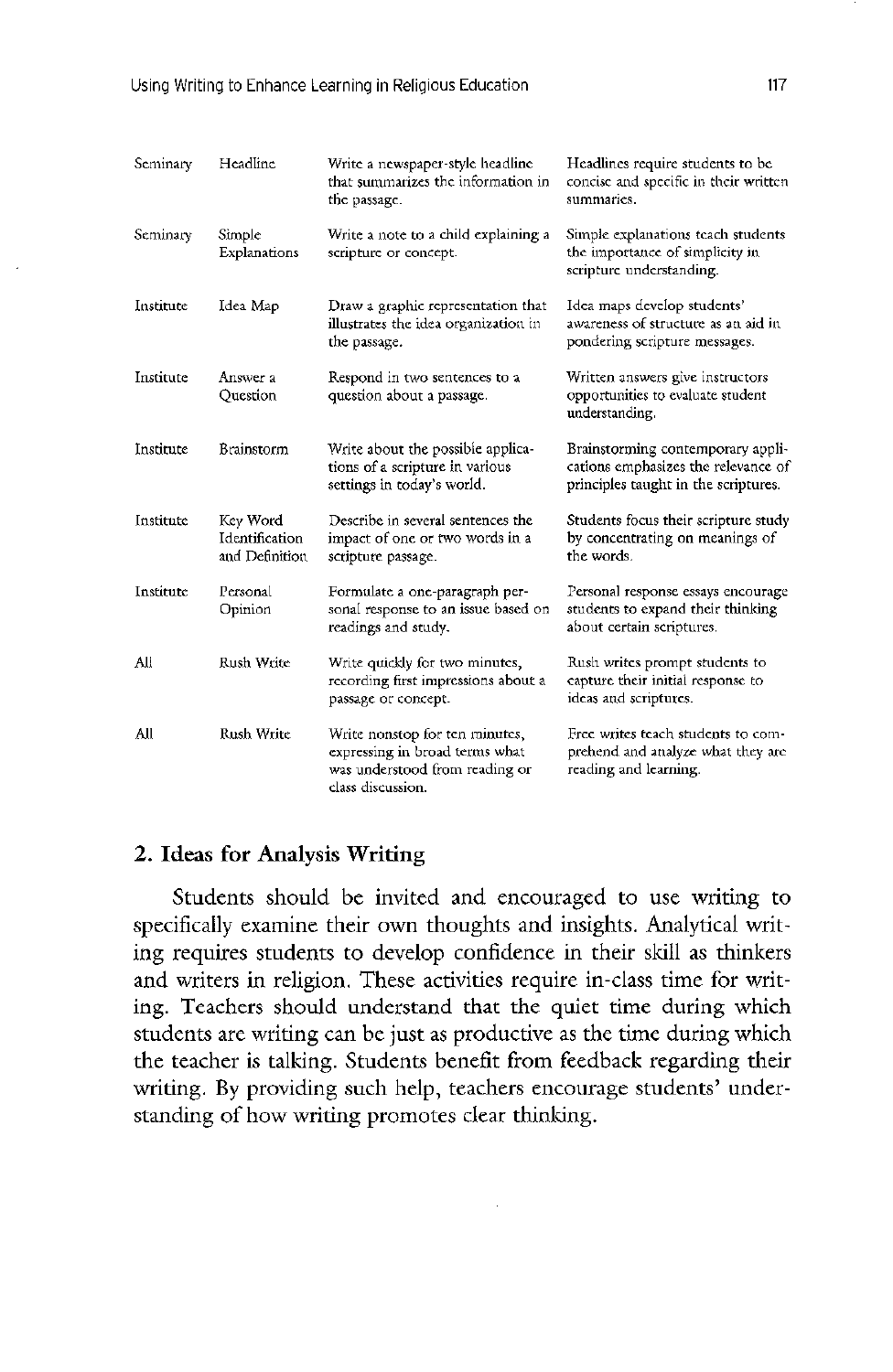| Seminary  | Headline                                     | Write a newspaper-style headline<br>that summarizes the information in<br>the passage.                                  | Headlines require students to be<br>concise and specific in their written<br>summaries.                          |
|-----------|----------------------------------------------|-------------------------------------------------------------------------------------------------------------------------|------------------------------------------------------------------------------------------------------------------|
| Seminary  | Simple<br>Explanations                       | Write a note to a child explaining a<br>scripture or concept.                                                           | Simple explanations teach students<br>the importance of simplicity in<br>scripture understanding.                |
| Institute | Idea Map                                     | Draw a graphic representation that<br>illustrates the idea organization in<br>the passage.                              | Idea maps develop students'<br>awareness of structure as an aid in<br>pondering scripture messages.              |
| Institute | Answer a<br>Question                         | Respond in two sentences to a<br>question about a passage.                                                              | Written answers give instructors<br>opportunities to evaluate student<br>understanding.                          |
| Institute | <b>Brainstorm</b>                            | Write about the possible applica-<br>tions of a scripture in various<br>settings in today's world.                      | Brainstorming contemporary appli-<br>cations emphasizes the relevance of<br>principles taught in the scriptures. |
| Institute | Key Word<br>Identification<br>and Definition | Describe in several sentences the<br>impact of one or two words in a<br>scripture passage.                              | Students focus their scripture study<br>by concentrating on meanings of<br>the words.                            |
| Institute | Personal<br>Opinion                          | Formulate a one-paragraph per-<br>sonal response to an issue based on<br>readings and study.                            | Personal response essays encourage<br>students to expand their thinking<br>about certain scriptures.             |
| All       | Rush Write                                   | Write quickly for two minutes,<br>recording first impressions about a<br>passage or concept.                            | Rush writes prompt students to<br>capture their initial response to<br>ideas and scriptures.                     |
| All       | Rush Write                                   | Write nonstop for ten minutes,<br>expressing in broad terms what<br>was understood from reading or<br>class discussion. | Free writes teach students to com-<br>prehend and analyze what they are<br>reading and learning.                 |

### 2. Ideas for Analysis Writing

students should be invited and encouraged to use writing to specifically examine their own thoughts and insights. Analytical writing requires students to develop confidence in their skill as thinkers and writers in religion. These activities require in-class time for writing. Teachers should understand that the quiet time during which students are writing can be just as productive as the time during which the teacher is talking. Students benefit from feedback regarding their writing. By providing such help, teachers encourage students' understanding of how writing promotes clear thinking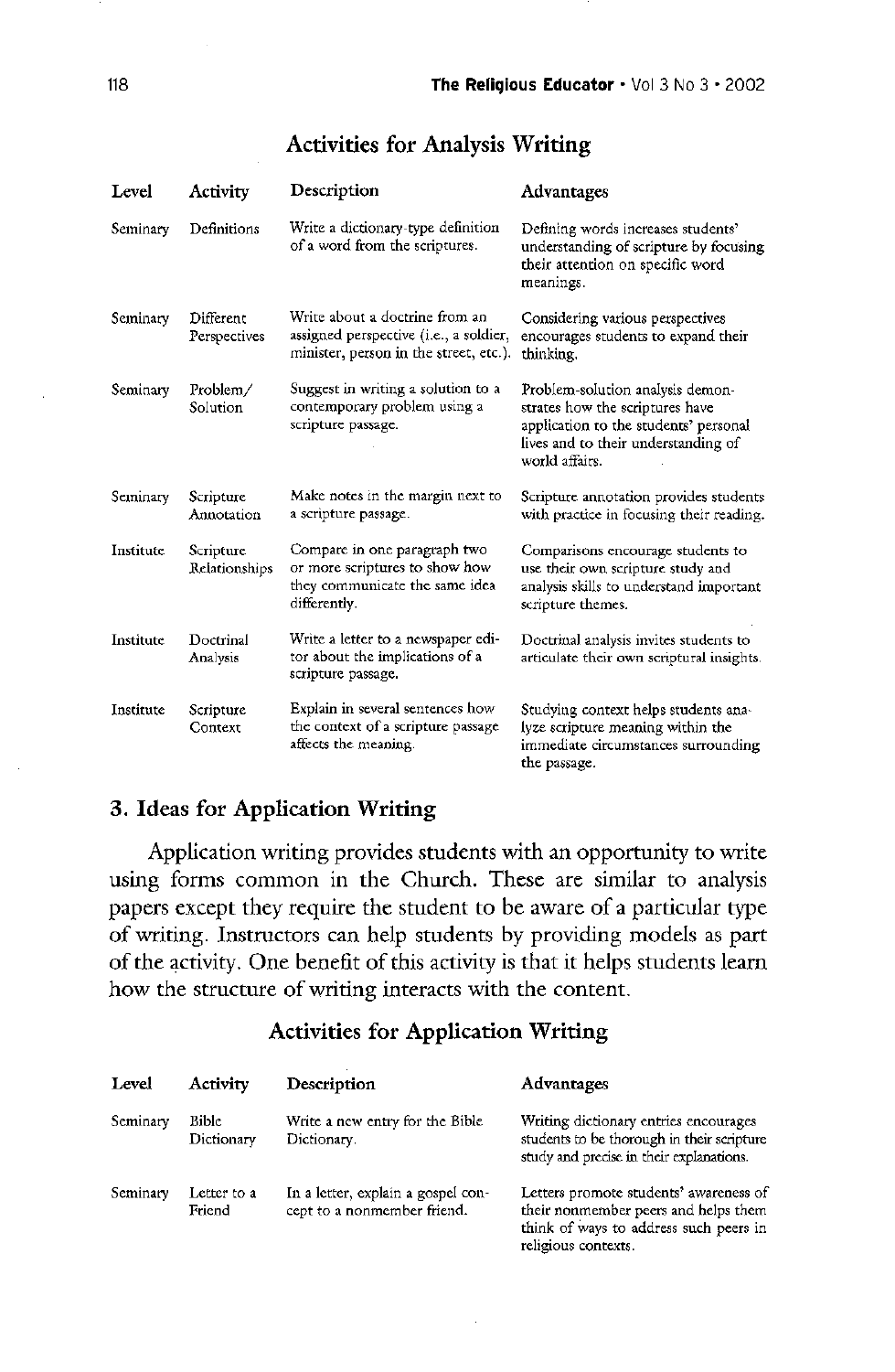# Activities for Analysis Writing

| Level     | Activity                     | Description                                                                                                        | Advantages                                                                                                                                                            |
|-----------|------------------------------|--------------------------------------------------------------------------------------------------------------------|-----------------------------------------------------------------------------------------------------------------------------------------------------------------------|
| Seminary  | Definitions                  | Write a dictionary-type definition<br>of a word from the scriptures.                                               | Defining words increases students'<br>understanding of scripture by focusing<br>their attention on specific word<br>meanings.                                         |
| Seminary  | Different<br>Perspectives    | Write about a doctrine from an<br>assigned perspective (i.e., a soldier,<br>minister, person in the street, etc.). | Considering various perspectives<br>encourages students to expand their<br>thinking.                                                                                  |
| Seminary  | Problem/<br>Solution         | Suggest in writing a solution to a<br>contemporary problem using a<br>scripture passage.                           | Problem-solution analysis demon-<br>strates how the scriptures have<br>application to the students' personal<br>lives and to their understanding of<br>world affairs. |
| Seminary  | Scripture<br>Annotation      | Make notes in the margin next to<br>a scripture passage.                                                           | Scripture annotation provides students<br>with practice in focusing their reading.                                                                                    |
| Institute | Scripture<br>Relationships   | Compare in one paragraph two<br>or more scriptures to show how<br>they communicate the same idea<br>differently.   | Comparisons encourage students to<br>use their own scripture study and<br>analysis skills to understand important<br>scripture themes.                                |
| Institute | Doctrinal<br><b>Analysis</b> | Write a letter to a newspaper edi-<br>tor about the implications of a<br>scripture passage.                        | Doctrinal analysis invites students to<br>articulate their own scriptural insights.                                                                                   |

Context the context of a scripture passage lyze scripture meaning within the<br>affects the meaning. The immediate circumstances surround

Institute Scripture Explain in several sentences how Studying context helps students ana-<br>Context the context of a scripture passage lyze scripture meaning within the immediate circumstances surrounding the passage

# 3. Ideas for Application Writing

Application writing provides students with an opportunity to writ<mark>e</mark> using forms common in the Church. These are similar to analysis papers except they require the student to be aware of a particular type of writing. Instructors can help students by providing models as part of the activity. One benefit of this activity is that it helps students learn how the structure of writing interacts with the content

# Activities for Application Writing

| Level    | Activity              | Description                                                       | Advantages                                                                                                                                      |
|----------|-----------------------|-------------------------------------------------------------------|-------------------------------------------------------------------------------------------------------------------------------------------------|
| Seminary | Bible<br>Dictionary   | Write a new entry for the Bible<br>Dictionary.                    | Writing dictionary entries encourages<br>students to be thorough in their scripture<br>study and precise in their explanations.                 |
| Seminary | Letter to a<br>Friend | In a letter, explain a gospel con-<br>cept to a nonmember friend. | Letters promote students' awareness of<br>their nonmember peers and helps them<br>think of ways to address such peers in<br>religious contexts. |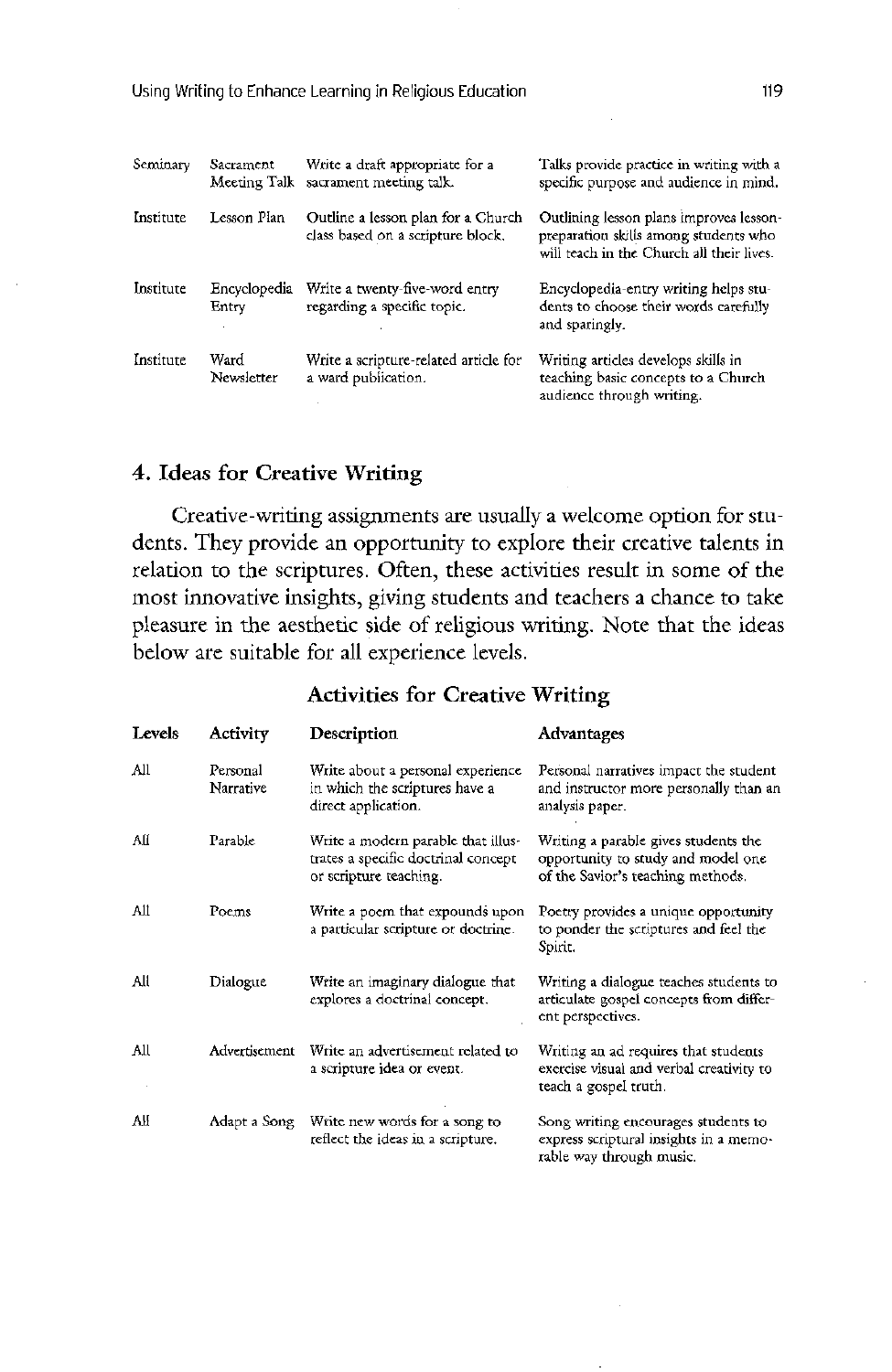| Seminary  | Sacrament<br>Meeting Talk | Write a draft appropriate for a<br>sacrament meeting talk.              | Talks provide practice in writing with a<br>specific purpose and audience in mind.                                            |
|-----------|---------------------------|-------------------------------------------------------------------------|-------------------------------------------------------------------------------------------------------------------------------|
| Institute | Lesson Plan               | Outline a lesson plan for a Church<br>class based on a scripture block. | Outlining lesson plans improves lesson-<br>preparation skills among students who<br>will teach in the Church all their lives. |
| Institute | Encyclopedia<br>Entry     | Write a twenty-five-word entry<br>regarding a specific topic.           | Encyclopedia-entry writing helps stu-<br>dents to choose their words carefully<br>and sparingly.                              |
| Institute | Ward<br>Newsletter        | Write a scripture-related article for<br>a ward publication.            | Writing articles develops skills in<br>teaching basic concepts to a Church<br>audience through writing.                       |

#### 4. Ideas for Creative Writing

Creative-writing assignments are usually a welcome option for students. They provide an opportunity to explore their creative talents in relation to the scriptures. Often, these activities result in some of the most innovative insights, giving students and teachers a chance to take pleasure in the aesthetic side of religious writing. Note that the ideas below are suitable for all experience levels

#### Activities for Creative Writing

| Levels | Activity              | Description                                                                                         | Advantages                                                                                                      |
|--------|-----------------------|-----------------------------------------------------------------------------------------------------|-----------------------------------------------------------------------------------------------------------------|
| All    | Personal<br>Narrative | Write about a personal experience<br>in which the scriptures have a<br>direct application.          | Personal narratives impact the student<br>and instructor more personally than an<br>analysis paper.             |
| All    | Parable               | Write a modern parable that illus-<br>trates a specific doctrinal concept<br>or scripture teaching. | Writing a parable gives students the<br>opportunity to study and model one<br>of the Savior's teaching methods. |
| All    | Poems                 | Write a poem that expounds upon<br>a particular scripture or doctrine.                              | Poetry provides a unique opportunity<br>to ponder the scriptures and feel the<br>Spirit.                        |
| All    | Dialogue              | Write an imaginary dialogue that<br>explores a doctrinal concept.                                   | Writing a dialogue teaches students to<br>articulate gospel concepts from differ-<br>ent perspectives.          |
| All    |                       | Advertisement Write an advertisement related to<br>a scripture idea or event.                       | Writing an ad requires that students<br>exercise visual and verbal creativity to<br>teach a gospel truth.       |
| All    | Adapt a Song          | Write new words for a song to<br>reflect the ideas in a scripture.                                  | Song writing encourages students to<br>express scriptural insights in a memo-<br>rable way through music.       |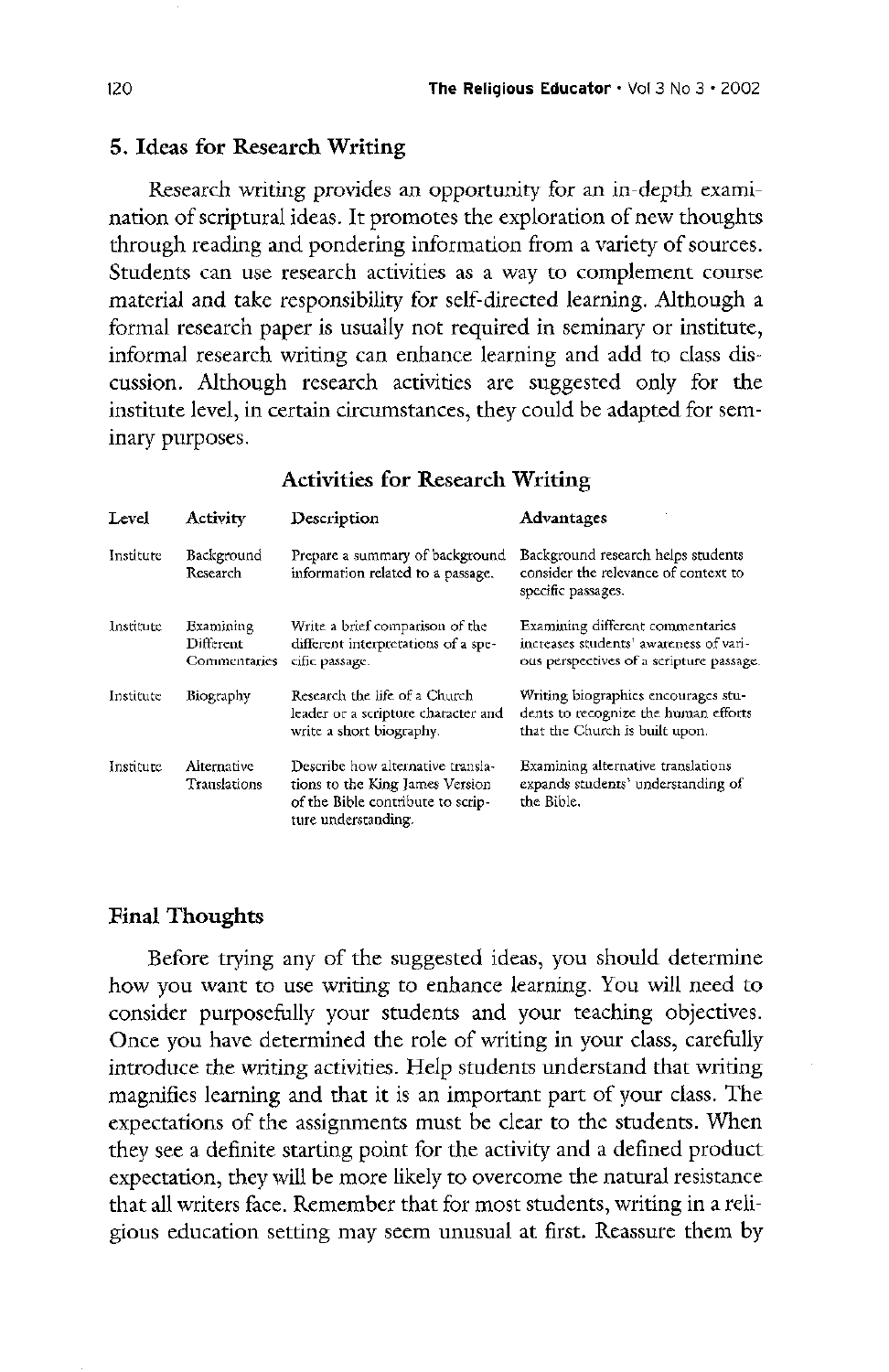#### 5. Ideas for Research Writing

Research writing provides an opportunity for an in-depth examination of scriptural ideas. It promotes the exploration of new thoughts through reading and pondering information from a variety of sources students can use research activities as a way to complement course material and take responsibility for self-directed learning. Although a formal research paper is usually not required in seminary or institute informal research writing can enhance learning and add to class discussion. Although research activities are suggested only for the institute level, in certain circumstances, they could be adapted for seminary purposes

#### Activities for Research Writing

| Level     | <b>Activity</b>                        | Description                                                                              | Advantages                                                                                                            |
|-----------|----------------------------------------|------------------------------------------------------------------------------------------|-----------------------------------------------------------------------------------------------------------------------|
| Institute | Background<br>Research                 | Prepare a summary of background<br>information related to a passage.                     | Background research helps students<br>consider the relevance of context to<br>specific passages.                      |
| Institute | Examining<br>Different<br>Commentaries | Write a brief comparison of the<br>different interpretations of a spe-<br>cific passage. | Examining different commentaries<br>increases students' awareness of vari-<br>ous perspectives of a scripture passage |

| Institute | Biography                   | Research the life of a Church<br>leader or a scripture character and<br>write a short biography.                                 | Writing biographies encourages stu-<br>dents to recognize the human efforts<br>that the Church is built upon. |
|-----------|-----------------------------|----------------------------------------------------------------------------------------------------------------------------------|---------------------------------------------------------------------------------------------------------------|
| Institute | Alternative<br>Translations | Describe how alternative transla-<br>tions to the King James Version<br>of the Bible contribute to scrip-<br>ture understanding. | Examining alternative translations<br>expands students' understanding of<br>the Bible.                        |

#### **Final Thoughts**

Before trying any of the suggested ideas, you should determine how you want to use writing to enhance learning. You will need to consider purposefully your students and your teaching objectives Once you have determined the role of writing in your class, carefully introduce the writing activities. Help students understand that writing magnifies learning and that it is an important part of your class. The expectations of the assignments must be clear to the students. When they see a definite starting point for the activity and a defined product expectation, they will be more likely to overcome the natural resistance that all writers face. Remember that for most students, writing in a religious education setting may seem unusual at first. Reassure them by